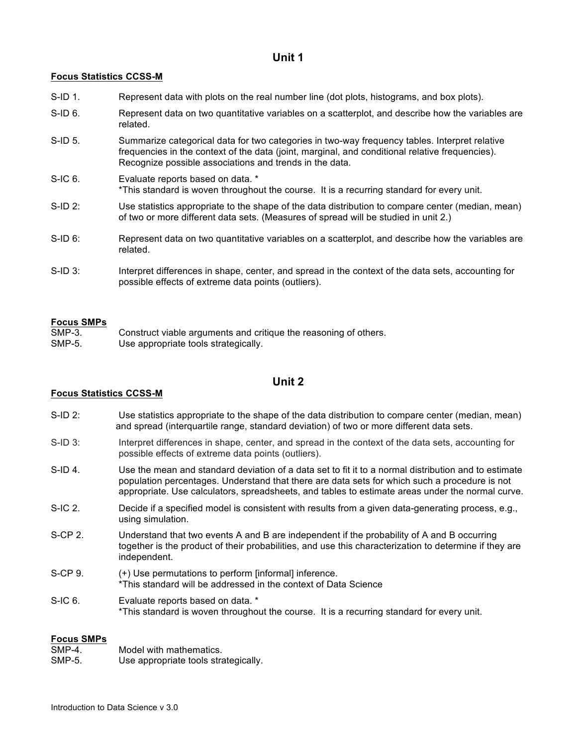## **Unit 1**

## **Focus Statistics CCSS-M**

- S-ID 1. Represent data with plots on the real number line (dot plots, histograms, and box plots).
- S-ID 6. Represent data on two quantitative variables on a scatterplot, and describe how the variables are related.
- S-ID 5. Summarize categorical data for two categories in two-way frequency tables. Interpret relative frequencies in the context of the data (joint, marginal, and conditional relative frequencies). Recognize possible associations and trends in the data.
- S-IC 6. Evaluate reports based on data. \* \*This standard is woven throughout the course. It is a recurring standard for every unit.
- S-ID 2: Use statistics appropriate to the shape of the data distribution to compare center (median, mean) of two or more different data sets. (Measures of spread will be studied in unit 2.)
- S-ID 6: Represent data on two quantitative variables on a scatterplot, and describe how the variables are related.
- S-ID 3: Interpret differences in shape, center, and spread in the context of the data sets, accounting for possible effects of extreme data points (outliers).

#### **Focus SMPs**

SMP-3. Construct viable arguments and critique the reasoning of others. SMP-5. Use appropriate tools strategically.

## **Unit 2**

## **Focus Statistics CCSS-M**

- S-ID 2: Use statistics appropriate to the shape of the data distribution to compare center (median, mean) and spread (interquartile range, standard deviation) of two or more different data sets.
- S-ID 3: Interpret differences in shape, center, and spread in the context of the data sets, accounting for possible effects of extreme data points (outliers).
- S-ID 4. Use the mean and standard deviation of a data set to fit it to a normal distribution and to estimate population percentages. Understand that there are data sets for which such a procedure is not appropriate. Use calculators, spreadsheets, and tables to estimate areas under the normal curve.
- S-IC 2. Decide if a specified model is consistent with results from a given data-generating process, e.g., using simulation.
- S-CP 2. Understand that two events A and B are independent if the probability of A and B occurring together is the product of their probabilities, and use this characterization to determine if they are independent.
- S-CP 9.  $(+)$  Use permutations to perform [informal] inference. \*This standard will be addressed in the context of Data Science
- S-IC 6. Evaluate reports based on data. \* \*This standard is woven throughout the course. It is a recurring standard for every unit.

## **Focus SMPs**

| SMP-4.<br>Model with mathematics. |  |
|-----------------------------------|--|
|-----------------------------------|--|

SMP-5. Use appropriate tools strategically.